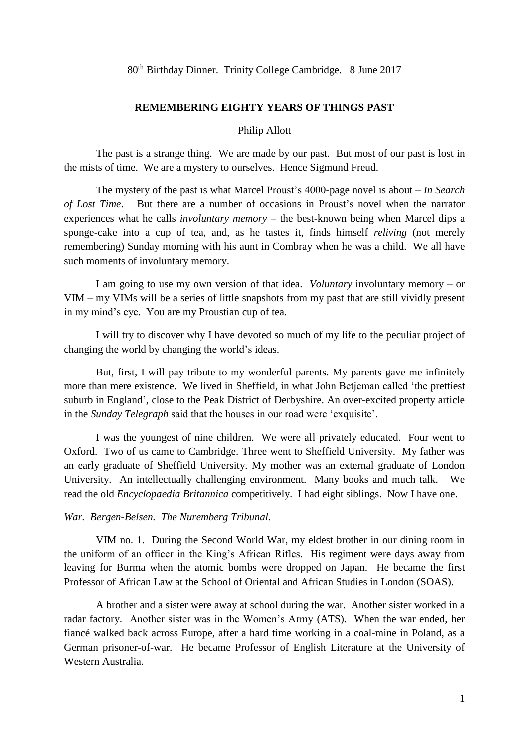80<sup>th</sup> Birthday Dinner. Trinity College Cambridge. 8 June 2017

#### **REMEMBERING EIGHTY YEARS OF THINGS PAST**

Philip Allott

The past is a strange thing. We are made by our past. But most of our past is lost in the mists of time. We are a mystery to ourselves. Hence Sigmund Freud.

The mystery of the past is what Marcel Proust's 4000-page novel is about – *In Search of Lost Time*. But there are a number of occasions in Proust's novel when the narrator experiences what he calls *involuntary memory* – the best-known being when Marcel dips a sponge-cake into a cup of tea, and, as he tastes it, finds himself *reliving* (not merely remembering) Sunday morning with his aunt in Combray when he was a child. We all have such moments of involuntary memory.

I am going to use my own version of that idea. *Voluntary* involuntary memory – or VIM – my VIMs will be a series of little snapshots from my past that are still vividly present in my mind's eye. You are my Proustian cup of tea.

I will try to discover why I have devoted so much of my life to the peculiar project of changing the world by changing the world's ideas.

But, first, I will pay tribute to my wonderful parents. My parents gave me infinitely more than mere existence. We lived in Sheffield, in what John Betjeman called 'the prettiest suburb in England', close to the Peak District of Derbyshire. An over-excited property article in the *Sunday Telegraph* said that the houses in our road were 'exquisite'.

I was the youngest of nine children. We were all privately educated. Four went to Oxford. Two of us came to Cambridge. Three went to Sheffield University. My father was an early graduate of Sheffield University. My mother was an external graduate of London University. An intellectually challenging environment. Many books and much talk. We read the old *Encyclopaedia Britannica* competitively. I had eight siblings. Now I have one.

## *War. Bergen-Belsen. The Nuremberg Tribunal.*

VIM no. 1. During the Second World War, my eldest brother in our dining room in the uniform of an officer in the King's African Rifles. His regiment were days away from leaving for Burma when the atomic bombs were dropped on Japan. He became the first Professor of African Law at the School of Oriental and African Studies in London (SOAS).

A brother and a sister were away at school during the war. Another sister worked in a radar factory. Another sister was in the Women's Army (ATS). When the war ended, her fiancé walked back across Europe, after a hard time working in a coal-mine in Poland, as a German prisoner-of-war. He became Professor of English Literature at the University of Western Australia.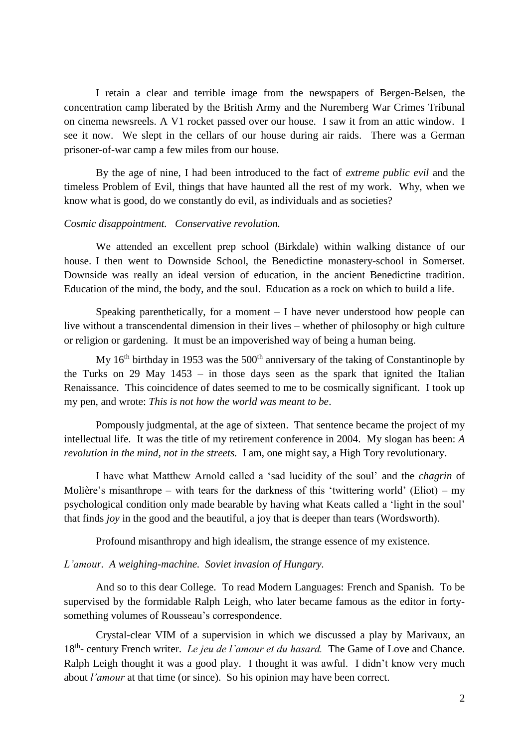I retain a clear and terrible image from the newspapers of Bergen-Belsen, the concentration camp liberated by the British Army and the Nuremberg War Crimes Tribunal on cinema newsreels. A V1 rocket passed over our house. I saw it from an attic window. I see it now. We slept in the cellars of our house during air raids. There was a German prisoner-of-war camp a few miles from our house.

By the age of nine, I had been introduced to the fact of *extreme public evil* and the timeless Problem of Evil, things that have haunted all the rest of my work. Why, when we know what is good, do we constantly do evil, as individuals and as societies?

#### *Cosmic disappointment. Conservative revolution.*

We attended an excellent prep school (Birkdale) within walking distance of our house. I then went to Downside School, the Benedictine monastery-school in Somerset. Downside was really an ideal version of education, in the ancient Benedictine tradition. Education of the mind, the body, and the soul. Education as a rock on which to build a life.

Speaking parenthetically, for a moment  $-$  I have never understood how people can live without a transcendental dimension in their lives – whether of philosophy or high culture or religion or gardening. It must be an impoverished way of being a human being.

My  $16<sup>th</sup>$  birthday in 1953 was the 500<sup>th</sup> anniversary of the taking of Constantinople by the Turks on 29 May 1453 – in those days seen as the spark that ignited the Italian Renaissance. This coincidence of dates seemed to me to be cosmically significant. I took up my pen, and wrote: *This is not how the world was meant to be*.

Pompously judgmental, at the age of sixteen. That sentence became the project of my intellectual life. It was the title of my retirement conference in 2004. My slogan has been: *A revolution in the mind, not in the streets.* I am, one might say, a High Tory revolutionary.

I have what Matthew Arnold called a 'sad lucidity of the soul' and the *chagrin* of Molière's misanthrope – with tears for the darkness of this 'twittering world' (Eliot) – my psychological condition only made bearable by having what Keats called a 'light in the soul' that finds *joy* in the good and the beautiful, a joy that is deeper than tears (Wordsworth).

Profound misanthropy and high idealism, the strange essence of my existence.

# *L'amour. A weighing-machine. Soviet invasion of Hungary.*

And so to this dear College. To read Modern Languages: French and Spanish. To be supervised by the formidable Ralph Leigh, who later became famous as the editor in fortysomething volumes of Rousseau's correspondence.

Crystal-clear VIM of a supervision in which we discussed a play by Marivaux, an 18<sup>th</sup>- century French writer. *Le jeu de l'amour et du hasard*. The Game of Love and Chance. Ralph Leigh thought it was a good play. I thought it was awful. I didn't know very much about *l'amour* at that time (or since). So his opinion may have been correct.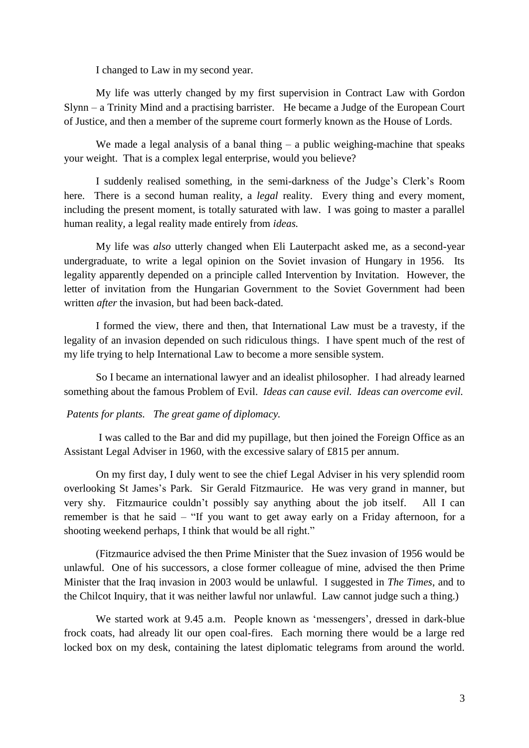I changed to Law in my second year.

My life was utterly changed by my first supervision in Contract Law with Gordon Slynn – a Trinity Mind and a practising barrister. He became a Judge of the European Court of Justice, and then a member of the supreme court formerly known as the House of Lords.

We made a legal analysis of a banal thing  $-$  a public weighing-machine that speaks your weight. That is a complex legal enterprise, would you believe?

I suddenly realised something, in the semi-darkness of the Judge's Clerk's Room here. There is a second human reality, a *legal* reality. Every thing and every moment, including the present moment, is totally saturated with law. I was going to master a parallel human reality*,* a legal reality made entirely from *ideas.*

My life was *also* utterly changed when Eli Lauterpacht asked me, as a second-year undergraduate, to write a legal opinion on the Soviet invasion of Hungary in 1956. Its legality apparently depended on a principle called Intervention by Invitation. However, the letter of invitation from the Hungarian Government to the Soviet Government had been written *after* the invasion, but had been back-dated.

I formed the view, there and then, that International Law must be a travesty, if the legality of an invasion depended on such ridiculous things. I have spent much of the rest of my life trying to help International Law to become a more sensible system.

So I became an international lawyer and an idealist philosopher. I had already learned something about the famous Problem of Evil. *Ideas can cause evil. Ideas can overcome evil.*

# *Patents for plants. The great game of diplomacy.*

I was called to the Bar and did my pupillage, but then joined the Foreign Office as an Assistant Legal Adviser in 1960, with the excessive salary of £815 per annum.

On my first day, I duly went to see the chief Legal Adviser in his very splendid room overlooking St James's Park. Sir Gerald Fitzmaurice. He was very grand in manner, but very shy. Fitzmaurice couldn't possibly say anything about the job itself. All I can remember is that he said – "If you want to get away early on a Friday afternoon, for a shooting weekend perhaps, I think that would be all right."

(Fitzmaurice advised the then Prime Minister that the Suez invasion of 1956 would be unlawful. One of his successors, a close former colleague of mine, advised the then Prime Minister that the Iraq invasion in 2003 would be unlawful. I suggested in *The Times*, and to the Chilcot Inquiry, that it was neither lawful nor unlawful. Law cannot judge such a thing.)

We started work at 9.45 a.m. People known as 'messengers', dressed in dark-blue frock coats, had already lit our open coal-fires. Each morning there would be a large red locked box on my desk, containing the latest diplomatic telegrams from around the world.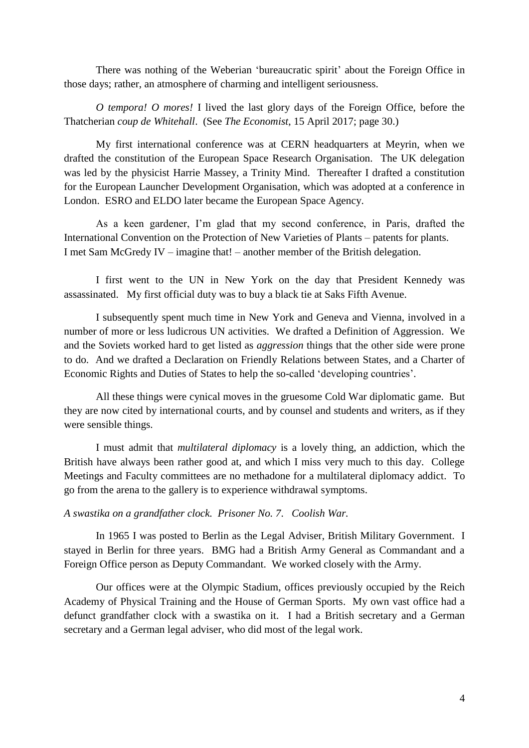There was nothing of the Weberian 'bureaucratic spirit' about the Foreign Office in those days; rather, an atmosphere of charming and intelligent seriousness.

*O tempora! O mores!* I lived the last glory days of the Foreign Office, before the Thatcherian *coup de Whitehall*. (See *The Economist*, 15 April 2017; page 30.)

My first international conference was at CERN headquarters at Meyrin, when we drafted the constitution of the European Space Research Organisation. The UK delegation was led by the physicist Harrie Massey, a Trinity Mind. Thereafter I drafted a constitution for the European Launcher Development Organisation, which was adopted at a conference in London. ESRO and ELDO later became the European Space Agency.

As a keen gardener, I'm glad that my second conference, in Paris, drafted the International Convention on the Protection of New Varieties of Plants – patents for plants. I met Sam McGredy IV – imagine that! – another member of the British delegation.

I first went to the UN in New York on the day that President Kennedy was assassinated. My first official duty was to buy a black tie at Saks Fifth Avenue.

I subsequently spent much time in New York and Geneva and Vienna, involved in a number of more or less ludicrous UN activities. We drafted a Definition of Aggression. We and the Soviets worked hard to get listed as *aggression* things that the other side were prone to do. And we drafted a Declaration on Friendly Relations between States, and a Charter of Economic Rights and Duties of States to help the so-called 'developing countries'.

All these things were cynical moves in the gruesome Cold War diplomatic game. But they are now cited by international courts, and by counsel and students and writers, as if they were sensible things.

I must admit that *multilateral diplomacy* is a lovely thing, an addiction, which the British have always been rather good at, and which I miss very much to this day. College Meetings and Faculty committees are no methadone for a multilateral diplomacy addict. To go from the arena to the gallery is to experience withdrawal symptoms.

*A swastika on a grandfather clock. Prisoner No. 7*. *Coolish War.*

In 1965 I was posted to Berlin as the Legal Adviser, British Military Government. I stayed in Berlin for three years. BMG had a British Army General as Commandant and a Foreign Office person as Deputy Commandant. We worked closely with the Army.

Our offices were at the Olympic Stadium, offices previously occupied by the Reich Academy of Physical Training and the House of German Sports. My own vast office had a defunct grandfather clock with a swastika on it. I had a British secretary and a German secretary and a German legal adviser, who did most of the legal work.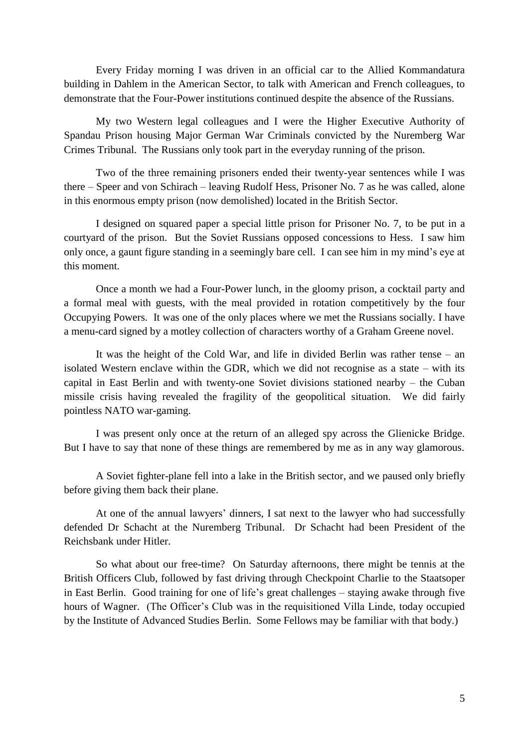Every Friday morning I was driven in an official car to the Allied Kommandatura building in Dahlem in the American Sector, to talk with American and French colleagues, to demonstrate that the Four-Power institutions continued despite the absence of the Russians.

My two Western legal colleagues and I were the Higher Executive Authority of Spandau Prison housing Major German War Criminals convicted by the Nuremberg War Crimes Tribunal. The Russians only took part in the everyday running of the prison.

Two of the three remaining prisoners ended their twenty-year sentences while I was there – Speer and von Schirach – leaving Rudolf Hess, Prisoner No. 7 as he was called, alone in this enormous empty prison (now demolished) located in the British Sector.

I designed on squared paper a special little prison for Prisoner No. 7, to be put in a courtyard of the prison. But the Soviet Russians opposed concessions to Hess. I saw him only once, a gaunt figure standing in a seemingly bare cell. I can see him in my mind's eye at this moment.

Once a month we had a Four-Power lunch, in the gloomy prison, a cocktail party and a formal meal with guests, with the meal provided in rotation competitively by the four Occupying Powers. It was one of the only places where we met the Russians socially. I have a menu-card signed by a motley collection of characters worthy of a Graham Greene novel.

It was the height of the Cold War, and life in divided Berlin was rather tense – an isolated Western enclave within the GDR, which we did not recognise as a state – with its capital in East Berlin and with twenty-one Soviet divisions stationed nearby – the Cuban missile crisis having revealed the fragility of the geopolitical situation. We did fairly pointless NATO war-gaming.

I was present only once at the return of an alleged spy across the Glienicke Bridge. But I have to say that none of these things are remembered by me as in any way glamorous.

A Soviet fighter-plane fell into a lake in the British sector, and we paused only briefly before giving them back their plane.

At one of the annual lawyers' dinners, I sat next to the lawyer who had successfully defended Dr Schacht at the Nuremberg Tribunal. Dr Schacht had been President of the Reichsbank under Hitler.

So what about our free-time? On Saturday afternoons, there might be tennis at the British Officers Club, followed by fast driving through Checkpoint Charlie to the Staatsoper in East Berlin. Good training for one of life's great challenges – staying awake through five hours of Wagner. (The Officer's Club was in the requisitioned Villa Linde, today occupied by the Institute of Advanced Studies Berlin. Some Fellows may be familiar with that body.)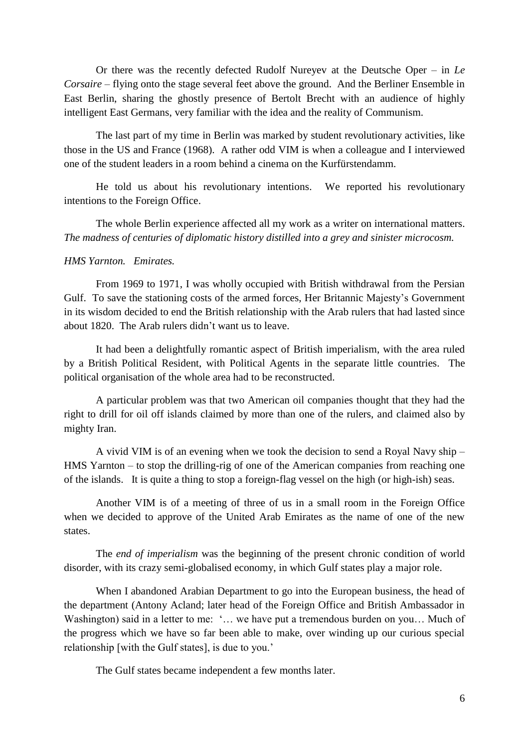Or there was the recently defected Rudolf Nureyev at the Deutsche Oper – in *Le Corsaire* – flying onto the stage several feet above the ground. And the Berliner Ensemble in East Berlin, sharing the ghostly presence of Bertolt Brecht with an audience of highly intelligent East Germans, very familiar with the idea and the reality of Communism.

The last part of my time in Berlin was marked by student revolutionary activities, like those in the US and France (1968). A rather odd VIM is when a colleague and I interviewed one of the student leaders in a room behind a cinema on the Kurfürstendamm.

He told us about his revolutionary intentions. We reported his revolutionary intentions to the Foreign Office.

The whole Berlin experience affected all my work as a writer on international matters. *The madness of centuries of diplomatic history distilled into a grey and sinister microcosm.*

## *HMS Yarnton. Emirates.*

From 1969 to 1971, I was wholly occupied with British withdrawal from the Persian Gulf. To save the stationing costs of the armed forces, Her Britannic Majesty's Government in its wisdom decided to end the British relationship with the Arab rulers that had lasted since about 1820. The Arab rulers didn't want us to leave.

It had been a delightfully romantic aspect of British imperialism, with the area ruled by a British Political Resident, with Political Agents in the separate little countries. The political organisation of the whole area had to be reconstructed.

A particular problem was that two American oil companies thought that they had the right to drill for oil off islands claimed by more than one of the rulers, and claimed also by mighty Iran.

A vivid VIM is of an evening when we took the decision to send a Royal Navy ship – HMS Yarnton – to stop the drilling-rig of one of the American companies from reaching one of the islands. It is quite a thing to stop a foreign-flag vessel on the high (or high-ish) seas.

Another VIM is of a meeting of three of us in a small room in the Foreign Office when we decided to approve of the United Arab Emirates as the name of one of the new states.

The *end of imperialism* was the beginning of the present chronic condition of world disorder, with its crazy semi-globalised economy, in which Gulf states play a major role.

When I abandoned Arabian Department to go into the European business, the head of the department (Antony Acland; later head of the Foreign Office and British Ambassador in Washington) said in a letter to me: '... we have put a tremendous burden on you... Much of the progress which we have so far been able to make, over winding up our curious special relationship [with the Gulf states], is due to you.'

The Gulf states became independent a few months later.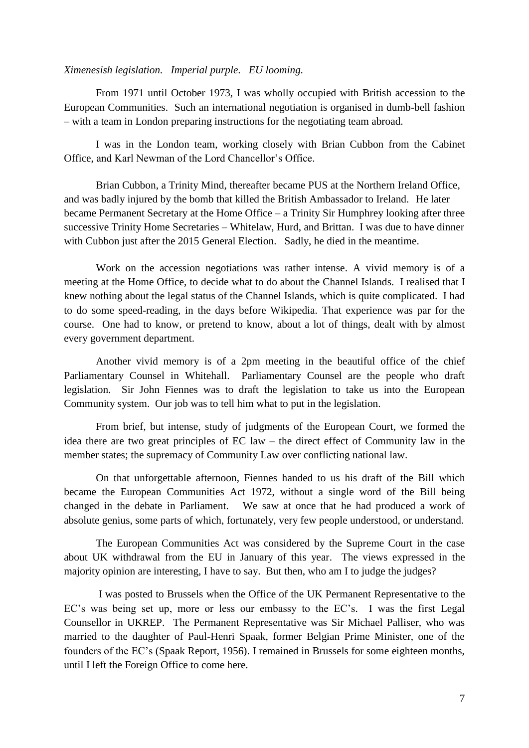## *Ximenesish legislation. Imperial purple*. *EU looming.*

From 1971 until October 1973, I was wholly occupied with British accession to the European Communities. Such an international negotiation is organised in dumb-bell fashion – with a team in London preparing instructions for the negotiating team abroad.

I was in the London team, working closely with Brian Cubbon from the Cabinet Office, and Karl Newman of the Lord Chancellor's Office.

Brian Cubbon, a Trinity Mind, thereafter became PUS at the Northern Ireland Office, and was badly injured by the bomb that killed the British Ambassador to Ireland. He later became Permanent Secretary at the Home Office – a Trinity Sir Humphrey looking after three successive Trinity Home Secretaries – Whitelaw, Hurd, and Brittan. I was due to have dinner with Cubbon just after the 2015 General Election. Sadly, he died in the meantime.

Work on the accession negotiations was rather intense. A vivid memory is of a meeting at the Home Office, to decide what to do about the Channel Islands. I realised that I knew nothing about the legal status of the Channel Islands, which is quite complicated. I had to do some speed-reading, in the days before Wikipedia. That experience was par for the course. One had to know, or pretend to know, about a lot of things, dealt with by almost every government department.

Another vivid memory is of a 2pm meeting in the beautiful office of the chief Parliamentary Counsel in Whitehall. Parliamentary Counsel are the people who draft legislation. Sir John Fiennes was to draft the legislation to take us into the European Community system. Our job was to tell him what to put in the legislation.

From brief, but intense, study of judgments of the European Court, we formed the idea there are two great principles of EC law – the direct effect of Community law in the member states; the supremacy of Community Law over conflicting national law.

On that unforgettable afternoon, Fiennes handed to us his draft of the Bill which became the European Communities Act 1972, without a single word of the Bill being changed in the debate in Parliament. We saw at once that he had produced a work of absolute genius, some parts of which, fortunately, very few people understood, or understand.

The European Communities Act was considered by the Supreme Court in the case about UK withdrawal from the EU in January of this year. The views expressed in the majority opinion are interesting, I have to say. But then, who am I to judge the judges?

I was posted to Brussels when the Office of the UK Permanent Representative to the EC's was being set up, more or less our embassy to the EC's. I was the first Legal Counsellor in UKREP. The Permanent Representative was Sir Michael Palliser, who was married to the daughter of Paul-Henri Spaak, former Belgian Prime Minister, one of the founders of the EC's (Spaak Report, 1956). I remained in Brussels for some eighteen months, until I left the Foreign Office to come here.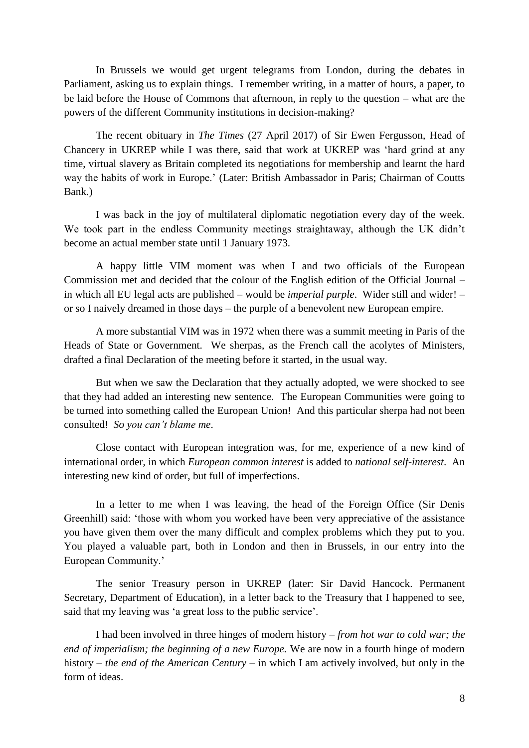In Brussels we would get urgent telegrams from London, during the debates in Parliament, asking us to explain things. I remember writing, in a matter of hours, a paper, to be laid before the House of Commons that afternoon, in reply to the question – what are the powers of the different Community institutions in decision-making?

The recent obituary in *The Times* (27 April 2017) of Sir Ewen Fergusson, Head of Chancery in UKREP while I was there, said that work at UKREP was 'hard grind at any time, virtual slavery as Britain completed its negotiations for membership and learnt the hard way the habits of work in Europe.' (Later: British Ambassador in Paris; Chairman of Coutts Bank.)

I was back in the joy of multilateral diplomatic negotiation every day of the week. We took part in the endless Community meetings straightaway, although the UK didn't become an actual member state until 1 January 1973.

A happy little VIM moment was when I and two officials of the European Commission met and decided that the colour of the English edition of the Official Journal – in which all EU legal acts are published – would be *imperial purple*. Wider still and wider! – or so I naively dreamed in those days – the purple of a benevolent new European empire.

A more substantial VIM was in 1972 when there was a summit meeting in Paris of the Heads of State or Government. We sherpas, as the French call the acolytes of Ministers, drafted a final Declaration of the meeting before it started, in the usual way.

But when we saw the Declaration that they actually adopted, we were shocked to see that they had added an interesting new sentence. The European Communities were going to be turned into something called the European Union! And this particular sherpa had not been consulted! *So you can't blame me*.

Close contact with European integration was, for me, experience of a new kind of international order, in which *European common interest* is added to *national self-interest*. An interesting new kind of order, but full of imperfections.

In a letter to me when I was leaving, the head of the Foreign Office (Sir Denis Greenhill) said: 'those with whom you worked have been very appreciative of the assistance you have given them over the many difficult and complex problems which they put to you. You played a valuable part, both in London and then in Brussels, in our entry into the European Community.'

The senior Treasury person in UKREP (later: Sir David Hancock. Permanent Secretary, Department of Education), in a letter back to the Treasury that I happened to see, said that my leaving was 'a great loss to the public service'.

I had been involved in three hinges of modern history – *from hot war to cold war; the end of imperialism; the beginning of a new Europe.* We are now in a fourth hinge of modern history – *the end of the American Century* – in which I am actively involved, but only in the form of ideas.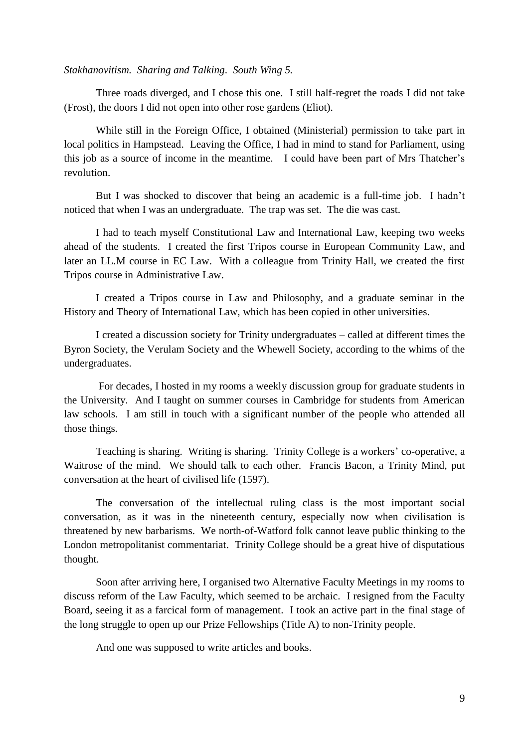*Stakhanovitism. Sharing and Talking*. *South Wing 5.*

Three roads diverged, and I chose this one. I still half-regret the roads I did not take (Frost), the doors I did not open into other rose gardens (Eliot).

While still in the Foreign Office, I obtained (Ministerial) permission to take part in local politics in Hampstead. Leaving the Office, I had in mind to stand for Parliament, using this job as a source of income in the meantime. I could have been part of Mrs Thatcher's revolution.

But I was shocked to discover that being an academic is a full-time job. I hadn't noticed that when I was an undergraduate. The trap was set. The die was cast.

I had to teach myself Constitutional Law and International Law, keeping two weeks ahead of the students. I created the first Tripos course in European Community Law, and later an LL.M course in EC Law. With a colleague from Trinity Hall, we created the first Tripos course in Administrative Law.

I created a Tripos course in Law and Philosophy, and a graduate seminar in the History and Theory of International Law, which has been copied in other universities.

I created a discussion society for Trinity undergraduates – called at different times the Byron Society, the Verulam Society and the Whewell Society, according to the whims of the undergraduates.

For decades, I hosted in my rooms a weekly discussion group for graduate students in the University. And I taught on summer courses in Cambridge for students from American law schools. I am still in touch with a significant number of the people who attended all those things.

Teaching is sharing. Writing is sharing. Trinity College is a workers' co-operative, a Waitrose of the mind. We should talk to each other. Francis Bacon, a Trinity Mind, put conversation at the heart of civilised life (1597).

The conversation of the intellectual ruling class is the most important social conversation, as it was in the nineteenth century, especially now when civilisation is threatened by new barbarisms. We north-of-Watford folk cannot leave public thinking to the London metropolitanist commentariat. Trinity College should be a great hive of disputatious thought.

Soon after arriving here, I organised two Alternative Faculty Meetings in my rooms to discuss reform of the Law Faculty, which seemed to be archaic. I resigned from the Faculty Board, seeing it as a farcical form of management. I took an active part in the final stage of the long struggle to open up our Prize Fellowships (Title A) to non-Trinity people.

And one was supposed to write articles and books.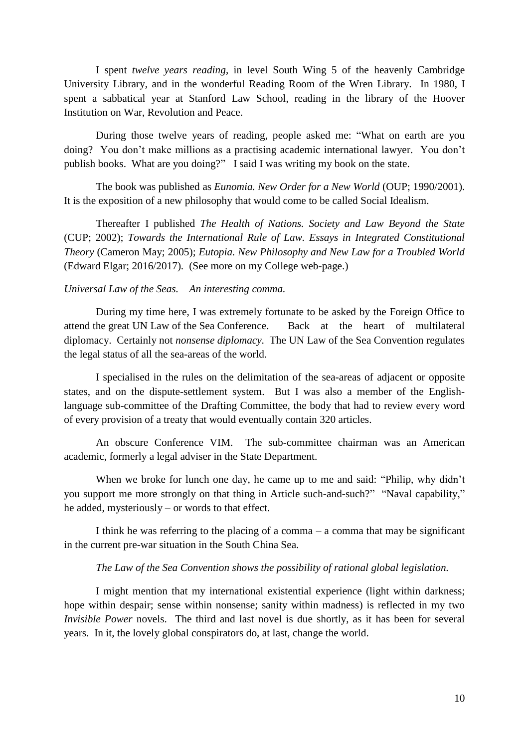I spent *twelve years reading*, in level South Wing 5 of the heavenly Cambridge University Library, and in the wonderful Reading Room of the Wren Library. In 1980, I spent a sabbatical year at Stanford Law School, reading in the library of the Hoover Institution on War, Revolution and Peace.

During those twelve years of reading, people asked me: "What on earth are you doing? You don't make millions as a practising academic international lawyer. You don't publish books. What are you doing?" I said I was writing my book on the state.

The book was published as *Eunomia. New Order for a New World* (OUP; 1990/2001). It is the exposition of a new philosophy that would come to be called Social Idealism.

Thereafter I published *The Health of Nations. Society and Law Beyond the State*  (CUP; 2002); *Towards the International Rule of Law. Essays in Integrated Constitutional Theory* (Cameron May; 2005); *Eutopia. New Philosophy and New Law for a Troubled World*  (Edward Elgar; 2016/2017)*.* (See more on my College web-page.)

## *Universal Law of the Seas. An interesting comma.*

During my time here, I was extremely fortunate to be asked by the Foreign Office to attend the great UN Law of the Sea Conference. Back at the heart of multilateral diplomacy. Certainly not *nonsense diplomacy*. The UN Law of the Sea Convention regulates the legal status of all the sea-areas of the world.

I specialised in the rules on the delimitation of the sea-areas of adjacent or opposite states, and on the dispute-settlement system. But I was also a member of the Englishlanguage sub-committee of the Drafting Committee, the body that had to review every word of every provision of a treaty that would eventually contain 320 articles.

An obscure Conference VIM. The sub-committee chairman was an American academic, formerly a legal adviser in the State Department.

When we broke for lunch one day, he came up to me and said: "Philip, why didn't you support me more strongly on that thing in Article such-and-such?" "Naval capability," he added, mysteriously – or words to that effect.

I think he was referring to the placing of a comma – a comma that may be significant in the current pre-war situation in the South China Sea.

### *The Law of the Sea Convention shows the possibility of rational global legislation.*

I might mention that my international existential experience (light within darkness; hope within despair; sense within nonsense; sanity within madness) is reflected in my two *Invisible Power* novels. The third and last novel is due shortly, as it has been for several years. In it, the lovely global conspirators do, at last, change the world.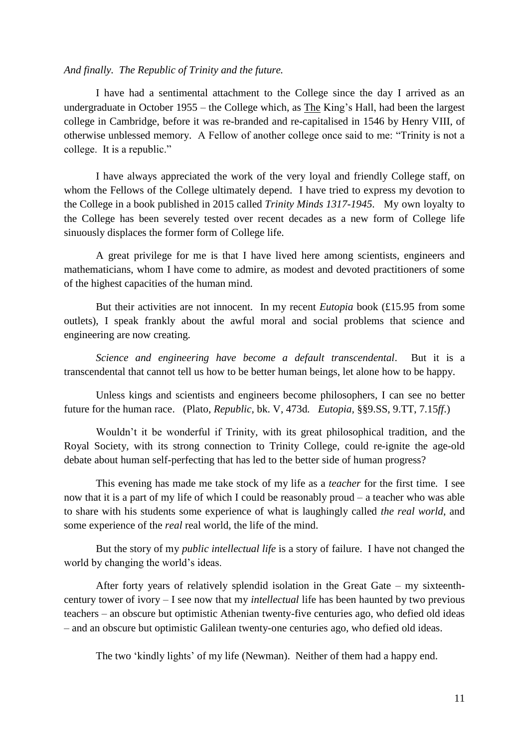#### *And finally. The Republic of Trinity and the future.*

I have had a sentimental attachment to the College since the day I arrived as an undergraduate in October 1955 – the College which, as The King's Hall, had been the largest college in Cambridge, before it was re-branded and re-capitalised in 1546 by Henry VIII, of otherwise unblessed memory. A Fellow of another college once said to me: "Trinity is not a college. It is a republic."

I have always appreciated the work of the very loyal and friendly College staff, on whom the Fellows of the College ultimately depend. I have tried to express my devotion to the College in a book published in 2015 called *Trinity Minds 1317-1945*. My own loyalty to the College has been severely tested over recent decades as a new form of College life sinuously displaces the former form of College life.

A great privilege for me is that I have lived here among scientists, engineers and mathematicians, whom I have come to admire, as modest and devoted practitioners of some of the highest capacities of the human mind.

But their activities are not innocent. In my recent *Eutopia* book (£15.95 from some outlets), I speak frankly about the awful moral and social problems that science and engineering are now creating*.* 

*Science and engineering have become a default transcendental*. But it is a transcendental that cannot tell us how to be better human beings, let alone how to be happy.

Unless kings and scientists and engineers become philosophers, I can see no better future for the human race. (Plato, *Republic,* bk. V, 473d*. Eutopia,* §§9.SS, 9.TT, 7.15*ff*.)

Wouldn't it be wonderful if Trinity, with its great philosophical tradition, and the Royal Society, with its strong connection to Trinity College, could re-ignite the age-old debate about human self-perfecting that has led to the better side of human progress?

This evening has made me take stock of my life as a *teacher* for the first time*.* I see now that it is a part of my life of which I could be reasonably proud – a teacher who was able to share with his students some experience of what is laughingly called *the real world*, and some experience of the *real* real world, the life of the mind.

But the story of my *public intellectual life* is a story of failure. I have not changed the world by changing the world's ideas.

After forty years of relatively splendid isolation in the Great Gate – my sixteenthcentury tower of ivory – I see now that my *intellectual* life has been haunted by two previous teachers – an obscure but optimistic Athenian twenty-five centuries ago, who defied old ideas – and an obscure but optimistic Galilean twenty-one centuries ago, who defied old ideas.

The two 'kindly lights' of my life (Newman). Neither of them had a happy end.